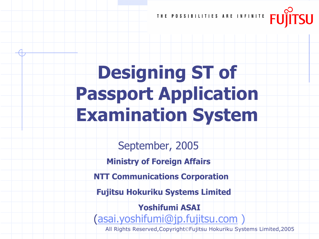

# Designing ST of Passport Application Examination System

September, 2005

Ministry of Foreign Affairs

NTT Communications Corporation

Fujitsu Hokuriku Systems Limited

Yoshifumi ASAI (asai.yoshifumi@jp.fujitsu.com )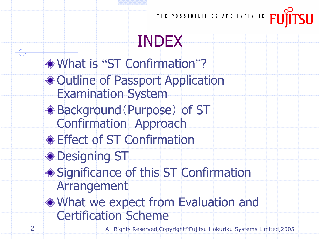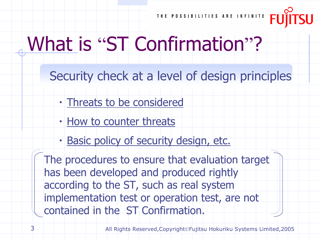

# What is "ST Confirmation"?

Security check at a level of design principles

- ・ Threats to be considered
- ・ How to counter threats
- ・ Basic policy of security design, etc.

The procedures to ensure that evaluation target has been developed and produced rightly according to the ST, such as real system implementation test or operation test, are not contained in the ST Confirmation.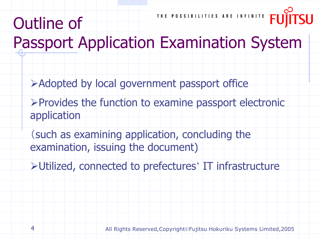

## Passport Application Examination System

- Adopted by local government passport office
- $\triangleright$  Provides the function to examine passport electronic application
- (such as examining application, concluding the examination, issuing the document)
- Utilized, connected to prefectures' IT infrastructure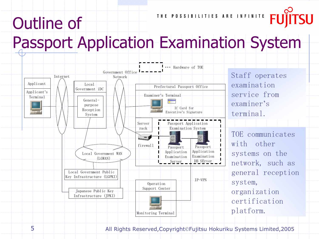# Outline of

THE POSSIBILITIES ARE INFINITE

## Passport Application Examination System



Staff operates examination service from examiner*'*s terminal.

TOE communicates with other systems on the network, such as general reception system, organization certification platform.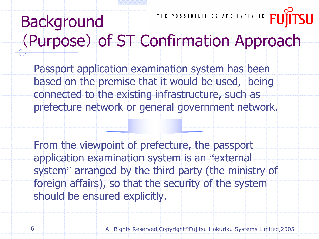#### THE POSSIBILITIES ARE INFINITE Background (Purpose) of ST Confirmation Approach

Passport application examination system has been based on the premise that it would be used, being connected to the existing infrastructure, such as prefecture network or general government network.

From the viewpoint of prefecture, the passport application examination system is an "external system" arranged by the third party (the ministry of foreign affairs), so that the security of the system should be ensured explicitly.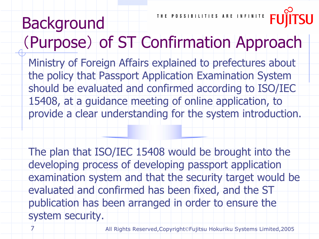THE POSSIBILITIES ARE INFINITE Background (Purpose) of ST Confirmation Approach

Ministry of Foreign Affairs explained to prefectures about the policy that Passport Application Examination System should be evaluated and confirmed according to ISO/IEC 15408, at a guidance meeting of online application, to provide a clear understanding for the system introduction.

The plan that ISO/IEC 15408 would be brought into the developing process of developing passport application examination system and that the security target would be evaluated and confirmed has been fixed, and the ST publication has been arranged in order to ensure the system security.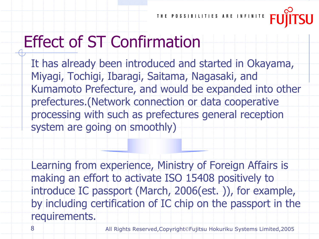

#### Effect of ST Confirmation

It has already been introduced and started in Okayama, Miyagi, Tochigi, Ibaragi, Saitama, Nagasaki, and Kumamoto Prefecture, and would be expanded into other prefectures.(Network connection or data cooperative processing with such as prefectures general reception system are going on smoothly)

Learning from experience, Ministry of Foreign Affairs is making an effort to activate ISO 15408 positively to introduce IC passport (March, 2006(est. )), for example, by including certification of IC chip on the passport in the requirements.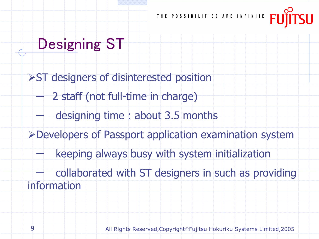

#### Designing ST

**>ST** designers of disinterested position 2 staff (not full-time in charge) designing time : about 3.5 months Developers of Passport application examination system keeping always busy with system initialization collaborated with ST designers in such as providing information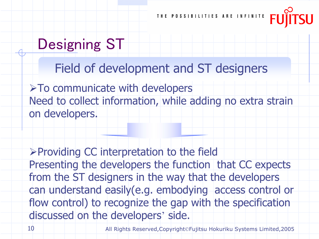#### Designing ST

Field of development and ST designers

>To communicate with developers Need to collect information, while adding no extra strain on developers.

Providing CC interpretation to the field Presenting the developers the function that CC expects from the ST designers in the way that the developers can understand easily(e.g. embodying access control or flow control) to recognize the gap with the specification discussed on the developers' side.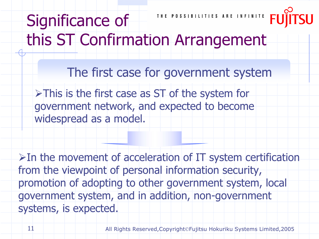THE POSSIBILITIES ARE INFINITE Significance of this ST Confirmation Arrangement

>This is the first case as ST of the system for government network, and expected to become widespread as a model. The first case for government system

 $\triangleright$  In the movement of acceleration of IT system certification from the viewpoint of personal information security, promotion of adopting to other government system, local government system, and in addition, non-government systems, is expected.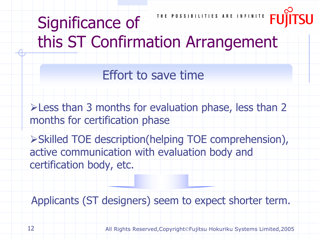THE POSSIBILITIES ARE INFINITE Significance of this ST Confirmation Arrangement

Effort to save time

Less than 3 months for evaluation phase, less than 2 months for certification phase

Skilled TOE description(helping TOE comprehension), active communication with evaluation body and certification body, etc.

Applicants (ST designers) seem to expect shorter term.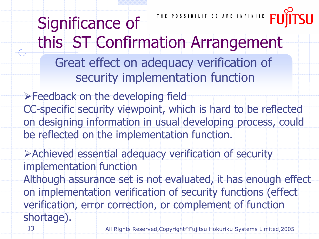THE POSSIBILITIES ARE INFINITE Significance of this ST Confirmation Arrangement Great effect on adequacy verification of security implementation function

Feedback on the developing field CC-specific security viewpoint, which is hard to be reflected on designing information in usual developing process, could be reflected on the implementation function.

Achieved essential adequacy verification of security implementation function

Although assurance set is not evaluated, it has enough effect on implementation verification of security functions (effect verification, error correction, or complement of function shortage).

13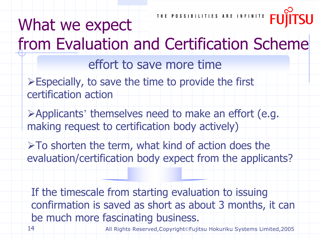### What we expect from Evaluation and Certification Scheme

effort to save more time

- Especially, to save the time to provide the first certification action
- Applicants' themselves need to make an effort (e.g. making request to certification body actively)
- $\triangleright$  To shorten the term, what kind of action does the evaluation/certification body expect from the applicants?

If the timescale from starting evaluation to issuing confirmation is saved as short as about 3 months, it can be much more fascinating business.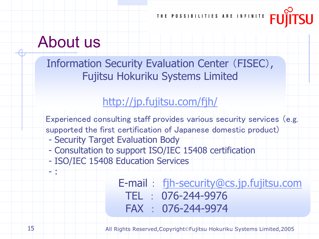#### About us

Information Security Evaluation Center (FISEC), Fujitsu Hokuriku Systems Limited

#### http://jp.fujitsu.com/fjh/

Experienced consulting staff provides various security services (e.g. supported the first certification of Japanese domestic product)

- Security Target Evaluation Body
- Consultation to support ISO/IEC 15408 certification
- ISO/IEC 15408 Education Services

E-mail : fjh-security@cs.jp.fujitsu.com TEL : 076-244-9976FAX : 076-244-9974

All Rights Reserved,Copyright©Fujitsu Hokuriku Systems Limited,2005

- :